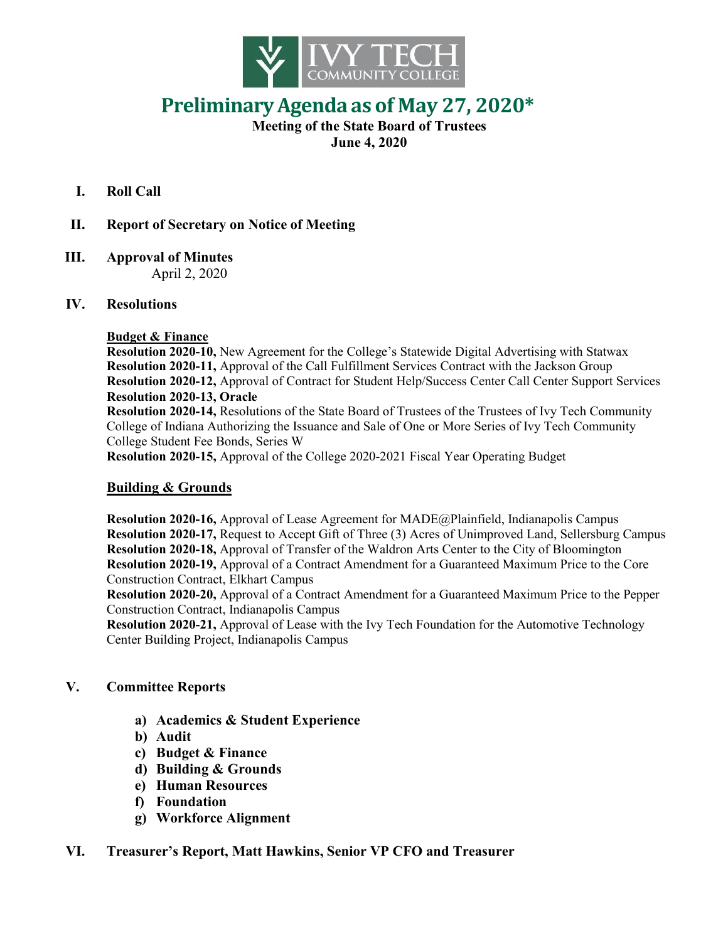

# **PreliminaryAgenda as of May 27, 2020\***

#### **Meeting of the State Board of Trustees June 4, 2020**

- **I. Roll Call**
- **II. Report of Secretary on Notice of Meeting**
- **III. Approval of Minutes** April 2, 2020

#### **IV. Resolutions**

#### **Budget & Finance**

**Resolution 2020-10,** New Agreement for the College's Statewide Digital Advertising with Statwax **Resolution 2020-11,** Approval of the Call Fulfillment Services Contract with the Jackson Group **Resolution 2020-12,** Approval of Contract for Student Help/Success Center Call Center Support Services **Resolution 2020-13, Oracle**

**Resolution 2020-14,** Resolutions of the State Board of Trustees of the Trustees of Ivy Tech Community College of Indiana Authorizing the Issuance and Sale of One or More Series of Ivy Tech Community College Student Fee Bonds, Series W

**Resolution 2020-15,** Approval of the College 2020-2021 Fiscal Year Operating Budget

## **Building & Grounds**

**Resolution 2020-16,** Approval of Lease Agreement for MADE@Plainfield, Indianapolis Campus **Resolution 2020-17,** Request to Accept Gift of Three (3) Acres of Unimproved Land, Sellersburg Campus **Resolution 2020-18,** Approval of Transfer of the Waldron Arts Center to the City of Bloomington **Resolution 2020-19,** Approval of a Contract Amendment for a Guaranteed Maximum Price to the Core Construction Contract, Elkhart Campus

**Resolution 2020-20,** Approval of a Contract Amendment for a Guaranteed Maximum Price to the Pepper Construction Contract, Indianapolis Campus

**Resolution 2020-21,** Approval of Lease with the Ivy Tech Foundation for the Automotive Technology Center Building Project, Indianapolis Campus

## **V. Committee Reports**

- **a) Academics & Student Experience**
- **b) Audit**
- **c) Budget & Finance**
- **d) Building & Grounds**
- **e) Human Resources**
- **f) Foundation**
- **g) Workforce Alignment**

## **VI. Treasurer's Report, Matt Hawkins, Senior VP CFO and Treasurer**